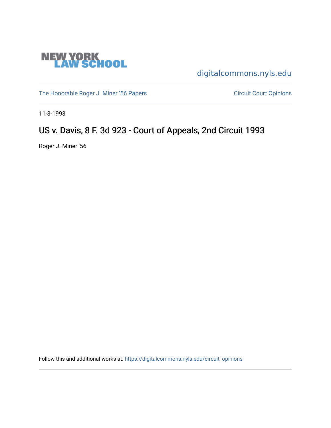

[digitalcommons.nyls.edu](https://digitalcommons.nyls.edu/) 

[The Honorable Roger J. Miner '56 Papers](https://digitalcommons.nyls.edu/miner_papers) Circuit Court Opinions

11-3-1993

# US v. Davis, 8 F. 3d 923 - Court of Appeals, 2nd Circuit 1993

Roger J. Miner '56

Follow this and additional works at: [https://digitalcommons.nyls.edu/circuit\\_opinions](https://digitalcommons.nyls.edu/circuit_opinions?utm_source=digitalcommons.nyls.edu%2Fcircuit_opinions%2F398&utm_medium=PDF&utm_campaign=PDFCoverPages)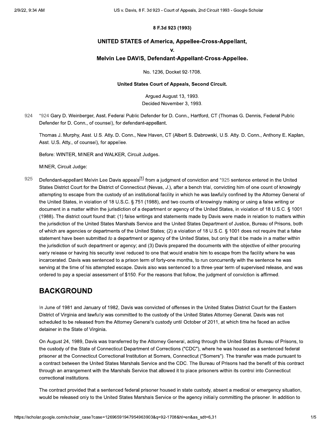### 8 F.3d 923 (1993)

### **UNITED STATES of America, Appellee-Cross-Appellant,**

 $\mathbf{V}$ 

#### Melvin Lee DAVIS, Defendant-Appellant-Cross-Appellee.

No. 1236, Docket 92-1708.

#### United States Court of Appeals, Second Circuit.

Arqued August 13, 1993. Decided November 3, 1993.

924 \*924 Gary D. Weinberger, Asst. Federal Public Defender for D. Conn., Hartford, CT (Thomas G. Dennis, Federal Public Defender for D. Conn., of counsel), for defendant-appellant.

Thomas J. Murphy, Asst. U.S. Atty. D. Conn., New Haven, CT (Albert S. Dabrowski, U.S. Atty. D. Conn., Anthony E. Kaplan, Asst. U.S. Atty., of counsel), for appellee.

Before: WINTER, MINER and WALKER, Circuit Judges.

MINER, Circuit Judge:

925 Defendant-appellant Melvin Lee Davis appeals<sup>[1]</sup> from a judgment of conviction and \*925 sentence entered in the United States District Court for the District of Connecticut (Nevas, J.), after a bench trial, convicting him of one count of knowingly attempting to escape from the custody of an institutional facility in which he was lawfully confined by the Attorney General of the United States, in violation of 18 U.S.C. § 751 (1988), and two counts of knowingly making or using a false writing or document in a matter within the jurisdiction of a department or agency of the United States, in violation of 18 U.S.C. § 1001 (1988). The district court found that: (1) false writings and statements made by Davis were made in relation to matters within the jurisdiction of the United States Marshals Service and the United States Department of Justice, Bureau of Prisons, both of which are agencies or departments of the United States; (2) a violation of 18 U.S.C. § 1001 does not require that a false statement have been submitted to a department or agency of the United States, but only that it be made in a matter within the jurisdiction of such department or agency; and (3) Davis prepared the documents with the objective of either procuring early release or having his security level reduced to one that would enable him to escape from the facility where he was incarcerated. Davis was sentenced to a prison term of forty-one months, to run concurrently with the sentence he was serving at the time of his attempted escape. Davis also was sentenced to a three-year term of supervised release, and was ordered to pay a special assessment of \$150. For the reasons that follow, the judgment of conviction is affirmed.

### **BACKGROUND**

In June of 1981 and January of 1982, Davis was convicted of offenses in the United States District Court for the Eastern District of Virginia and lawfully was committed to the custody of the United States Attorney General. Davis was not scheduled to be released from the Attorney General's custody until October of 2011, at which time he faced an active detainer in the State of Virginia.

On August 24, 1989, Davis was transferred by the Attorney General, acting through the United States Bureau of Prisons, to the custody of the State of Connecticut Department of Corrections ("CDC"), where he was housed as a sentenced federal prisoner at the Connecticut Correctional Institution at Somers, Connecticut ("Somers"). The transfer was made pursuant to a contract between the United States Marshals Service and the CDC. The Bureau of Prisons had the benefit of this contract through an arrangement with the Marshals Service that allowed it to place prisoners within its control into Connecticut correctional institutions.

The contract provided that a sentenced federal prisoner housed in state custody, absent a medical or emergency situation, would be released only to the United States Marshals Service or the agency initially committing the prisoner. In addition to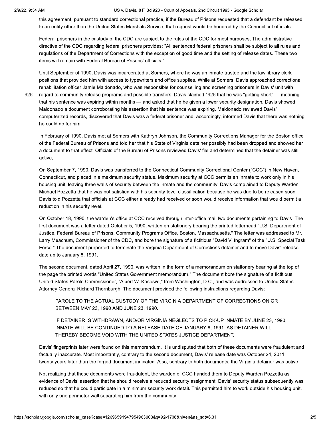US v. Davis, 8 F. 3d 923 - Court of Appeals, 2nd Circuit 1993 - Google Scholar

this agreement, pursuant to standard correctional practice, if the Bureau of Prisons requested that a defendant be released to an entity other than the United States Marshals Service, that request would be honored by the Connecticut officials.

Federal prisoners in the custody of the CDC are subject to the rules of the CDC for most purposes. The administrative directive of the CDC regarding federal prisoners provides: "All sentenced federal prisoners shall be subject to all rules and regulations of the Department of Corrections with the exception of good time and the setting of release dates. These two items will remain with Federal Bureau of Prisons' officials."

926

Until September of 1990, Davis was incarcerated at Somers, where he was an inmate trustee and the law library clerk positions that provided him with access to typewriters and office supplies. While at Somers, Davis approached correctional rehabilitation officer Jamie Maldonado, who was responsible for counselling and screening prisoners in Davis' unit with regard to community release programs and possible transfers. Davis claimed \*926 that he was "getting short" — meaning that his sentence was expiring within months — and asked that he be given a lower security designation. Davis showed Maldonado a document corroborating his assertion that his sentence was expiring. Maldonado reviewed Davis' computerized records, discovered that Davis was a federal prisoner and, accordingly, informed Davis that there was nothing he could do for him.

In February of 1990, Davis met at Somers with Kathryn Johnson, the Community Corrections Manager for the Boston office of the Federal Bureau of Prisons and told her that his State of Virginia detainer possibly had been dropped and showed her a document to that effect. Officials of the Bureau of Prisons reviewed Davis' file and determined that the detainer was still active.

On September 7, 1990, Davis was transferred to the Connecticut Community Correctional Center ("CCC") in New Haven, Connecticut, and placed in a maximum security status. Maximum security at CCC permits an inmate to work only in his housing unit, leaving three walls of security between the inmate and the community. Davis complained to Deputy Warden Michael Pozzetta that he was not satisfied with his security-level classification because he was due to be released soon. Davis told Pozzetta that officials at CCC either already had received or soon would receive information that would permit a reduction in his security level.

On October 18, 1990, the warden's office at CCC received through inter-office mail two documents pertaining to Davis. The first document was a letter dated October 5, 1990, written on stationery bearing the printed letterhead "U.S. Department of Justice, Federal Bureau of Prisons, Community Programs Office, Boston, Massachusetts." The letter was addressed to Mr. Larry Meachum, Commissioner of the CDC, and bore the signature of a fictitious "David V. Ingram" of the "U.S. Special Task Force." The document purported to terminate the Virginia Department of Corrections detainer and to move Davis' release date up to January 8, 1991.

The second document, dated April 27, 1990, was written in the form of a memorandum on stationery bearing at the top of the page the printed words "United States Government memorandum." The document bore the signature of a fictitious United States Parole Commissioner, "Albert W. Kaslowe," from Washington, D.C., and was addressed to United States Attorney General Richard Thornburgh. The document provided the following instructions regarding Davis:

PAROLE TO THE ACTUAL CUSTODY OF THE VIRGINIA DEPARTMENT OF CORRECTIONS ON OR BETWEEN MAY 23, 1990 AND JUNE 23, 1990.

IF DETAINER IS WITHDRAWN, AND/OR VIRGINIA NEGLECTS TO PICK-UP INMATE BY JUNE 23, 1990; INMATE WILL BE CONTINUED TO A RELEASE DATE OF JANUARY 8, 1991. AS DETAINER WILL THEREBY BECOME VOID WITH THE UNITED STATES JUSTICE DEPARTMENT.

Davis' fingerprints later were found on this memorandum. It is undisputed that both of these documents were fraudulent and factually inaccurate. Most importantly, contrary to the second document, Davis' release date was October 24, 2011 twenty years later than the forged document indicated. Also, contrary to both documents, the Virginia detainer was active.

Not realizing that these documents were fraudulent, the warden of CCC handed them to Deputy Warden Pozzetta as evidence of Davis' assertion that he should receive a reduced security assignment. Davis' security status subsequently was reduced so that he could participate in a minimum security work detail. This permitted him to work outside his housing unit, with only one perimeter wall separating him from the community.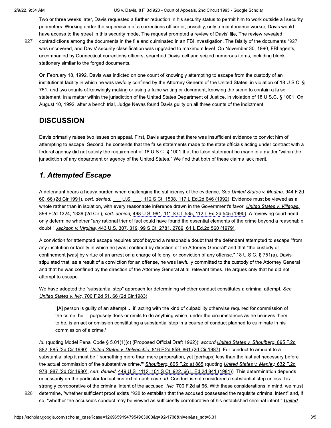US v. Davis, 8 F. 3d 923 - Court of Appeals, 2nd Circuit 1993 - Google Scholar

Two or three weeks later, Davis requested a further reduction in his security status to permit him to work outside all security perimeters. Working under the supervision of a corrections officer or, possibly, only a maintenance worker, Davis would have access to the street in this security mode. The request prompted a review of Davis' file. The review revealed

927

contradictions among the documents in the file and culminated in an FBI investigation. The falsity of the documents \*927 was uncovered, and Davis' security classification was upgraded to maximum level. On November 30, 1990, FBI agents, accompanied by Connecticut corrections officers, searched Davis' cell and seized numerous items, including blank stationery similar to the forged documents.

On February 18, 1992, Davis was indicted on one count of knowingly attempting to escape from the custody of an institutional facility in which he was lawfully confined by the Attorney General of the United States, in violation of 18 U.S.C. § 751, and two counts of knowingly making or using a false writing or document, knowing the same to contain a false statement, in a matter within the jurisdiction of the United States Department of Justice, in violation of 18 U.S.C. § 1001. On August 10, 1992, after a bench trial, Judge Nevas found Davis guilty on all three counts of the indictment.

## **DISCUSSION**

Davis primarily raises two issues on appeal. First, Davis argues that there was insufficient evidence to convict him of attempting to escape. Second, he contends that the false statements made to the state officials acting under contract with a federal agency did not satisfy the requirement of 18 U.S.C. § 1001 that the false statement be made in a matter "within the jurisdiction of any department or agency of the United States." We find that both of these claims lack merit.

# 1. Attempted Escape

A defendant bears a heavy burden when challenging the sufficiency of the evidence. See United States v. Medina, 944 F.2d 60, 66 (2d Cir.1991), cert. denied, U.S. , 112 S.Ct. 1508, 117 L.Ed.2d 646 (1992). Evidence must be viewed as a whole rather than in isolation, with every reasonable inference drawn in the Government's favor. United States v. Villegas, 899 F.2d 1324, 1339 (2d Cir.), cert. denied, 498 U.S. 991, 111 S.Ct. 535, 112 L.Ed.2d 545 (1990). A reviewing court need only determine whether "any rational trier of fact could have found the essential elements of the crime beyond a reasonable doubt." Jackson v. Virginia, 443 U.S. 307, 319, 99 S.Ct. 2781, 2789, 61 L.Ed.2d 560 (1979).

A conviction for attempted escape requires proof beyond a reasonable doubt that the defendant attempted to escape "from any institution or facility in which he [was] confined by direction of the Attorney General" and that "the custody or confinement [was] by virtue of an arrest on a charge of felony, or conviction of any offense." 18 U.S.C. § 751(a). Davis stipulated that, as a result of a conviction for an offense, he was lawfully committed to the custody of the Attorney General and that he was confined by the direction of the Attorney General at all relevant times. He argues only that he did not attempt to escape.

We have adopted the "substantial step" approach for determining whether conduct constitutes a criminal attempt. See United States v. Ivic, 700 F.2d 51, 66 (2d Cir.1983).

IA] person is guilty of an attempt ... if, acting with the kind of culpability otherwise required for commission of the crime, he ... purposely does or omits to do anything which, under the circumstances as he believes them to be, is an act or omission constituting a substantial step in a course of conduct planned to culminate in his commission of a crime.'

Id. (quoting Model Penal Code § 5.01(1)(c) (Proposed Official Draft 1962)); accord United States v. Shoulberg, 895 F.2d 882, 885 (2d Cir.1990); United States v. Delvecchio, 816 F.2d 859, 861 (2d Cir.1987). For conduct to amount to a substantial step it must be "`something more than mere preparation, yet [perhaps] less than the last act necessary before the actual commission of the substantive crime." Shoulberg, 895 F.2d at 885 (quoting United States v. Manley, 632 F.2d 978, 987 (2d Cir.1980), cert. denied, 449 U.S. 1112, 101 S.Ct. 922, 66 L.Ed.2d 841 (1981)). This determination depends necessarily on the particular factual context of each case. Id. Conduct is not considered a substantial step unless it is strongly corroborative of the criminal intent of the accused. *Ivic*, 700 F.2d at 66. With these considerations in mind, we must

928 determine, "whether sufficient proof exists \*928 to establish that the accused possessed the requisite criminal intent" and, if so, "whether the accused's conduct may be viewed as sufficiently corroborative of his established criminal intent." United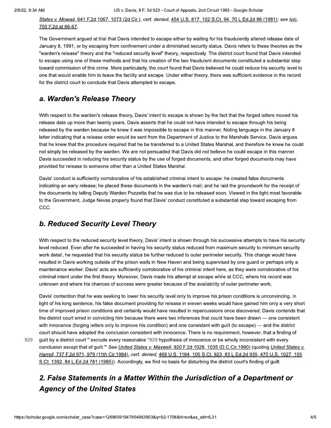929

States v. Mowad, 641 F.2d 1067, 1073 (2d Cir.), cert. denied, 454 U.S. 817, 102 S.Ct. 94, 70 L.Ed.2d 86 (1981); see Ivic, 700 F.2d at 66-67.

The Government argued at trial that Davis intended to escape either by waiting for his fraudulently altered release date of January 8, 1991, or by escaping from confinement under a diminished security status. Davis refers to these theories as the "warden's release" theory and the "reduced security level" theory, respectively. The district court found that Davis intended to escape using one of these methods and that his creation of the two fraudulent documents constituted a substantial step toward commission of this crime. More particularly, the court found that Davis believed he could reduce his security level to one that would enable him to leave the facility and escape. Under either theory, there was sufficient evidence in the record for the district court to conclude that Davis attempted to escape.

### a. Warden's Release Theory

With respect to the warden's release theory, Davis' intent to escape is shown by the fact that the forged letters moved his release date up more than twenty years. Davis asserts that he could not have intended to escape through his being released by the warden because he knew it was impossible to escape in this manner. Noting language in the January 8 letter indicating that a release order would be sent from the Department of Justice to the Marshals Service, Davis argues that he knew that the procedure required that he be transferred to a United States Marshal, and therefore he knew he could not simply be released by the warden. We are not persuaded that Davis did not believe he could escape in this manner. Davis succeeded in reducing his security status by the use of forged documents, and other forged documents may have provided for release to someone other than a United States Marshal.

Davis' conduct is sufficiently corroborative of his established criminal intent to escape: he created false documents indicating an early release; he placed these documents in the warden's mail; and he laid the groundwork for the receipt of the documents by telling Deputy Warden Pozzetta that he was due to be released soon. Viewed in the light most favorable to the Government, Judge Nevas properly found that Davis' conduct constituted a substantial step toward escaping from CCC.

## **b. Reduced Security Level Theory**

With respect to the reduced security level theory, Davis' intent is shown through his successive attempts to have his security level reduced. Even after he succeeded in having his security status reduced from maximum security to minimum security work detail, he requested that his security status be further reduced to outer perimeter security. This change would have resulted in Davis working outside of the prison walls in New Haven and being supervised by one guard or perhaps only a maintenance worker. Davis' acts are sufficiently corroborative of his criminal intent here, as they were corroborative of his criminal intent under the first theory. Moreover, Davis made his attempt at escape while at CCC, where his record was unknown and where his chances of success were greater because of the availability of outer perimeter work.

Davis' contention that he was seeking to lower his security level only to improve his prison conditions is unconvincing. In light of his long sentence, his false document providing for release in eleven weeks would have gained him only a very short time of improved prison conditions and certainly would have resulted in repercussions once discovered. Davis contends that the district court erred in convicting him because there were two inferences that could have been drawn - one consistent with innocence (forging letters only to improve his condition) and one consistent with quilt (to escape) — and the district court should have adopted the conclusion consistent with innocence. There is no requirement, however, that a finding of quilt by a district court "`exclude every reasonable \*929 hypothesis of innocence or be wholly inconsistent with every conclusion except that of guilt." See United States v. Maxwell, 920 F.2d 1028, 1035 (D.C.Cir.1990) (quoting United States v. Harrell, 737 F.2d 971, 979 (11th Cir.1984), cert. denied, 469 U.S. 1164, 105 S.Ct. 923, 83 L.Ed.2d 935, 470 U.S. 1027, 105 S.Ct. 1392, 84 L.Ed.2d 781 (1985)). Accordingly, we find no basis for disturbing the district court's finding of guilt.

# 2. False Statements in a Matter Within the Jurisdiction of a Department or **Agency of the United States**